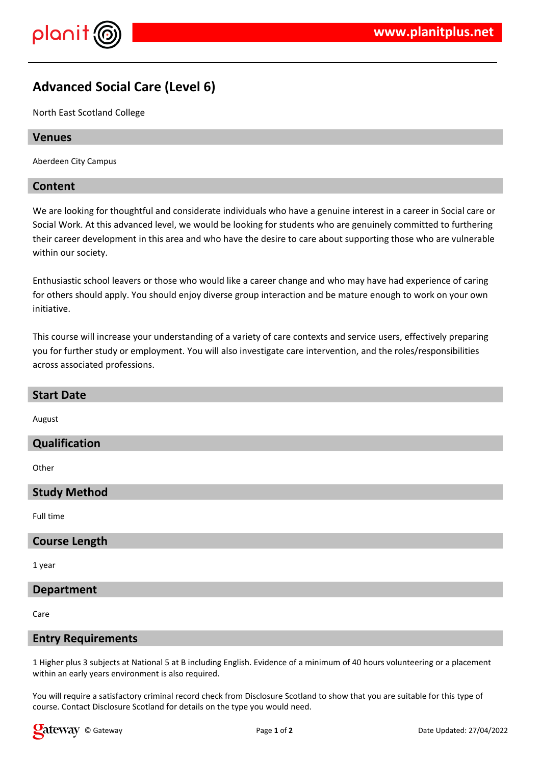

# **Advanced Social Care (Level 6)**

North East Scotland College

### **Venues**

Aberdeen City Campus

### **Content**

We are looking for thoughtful and considerate individuals who have a genuine interest in a career in Social care or Social Work. At this advanced level, we would be looking for students who are genuinely committed to furthering their career development in this area and who have the desire to care about supporting those who are vulnerable within our society.

Enthusiastic school leavers or those who would like a career change and who may have had experience of caring for others should apply. You should enjoy diverse group interaction and be mature enough to work on your own initiative.

This course will increase your understanding of a variety of care contexts and service users, effectively preparing you for further study or employment. You will also investigate care intervention, and the roles/responsibilities across associated professions.

| <b>Start Date</b>    |
|----------------------|
| August               |
| Qualification        |
| Other                |
| <b>Study Method</b>  |
| Full time            |
| <b>Course Length</b> |
| 1 year               |
| <b>Department</b>    |
|                      |

Care

#### **Entry Requirements**

1 Higher plus 3 subjects at National 5 at B including English. Evidence of a minimum of 40 hours volunteering or a placement within an early years environment is also required.

You will require a satisfactory criminal record check from Disclosure Scotland to show that you are suitable for this type of course. Contact Disclosure Scotland for details on the type you would need.